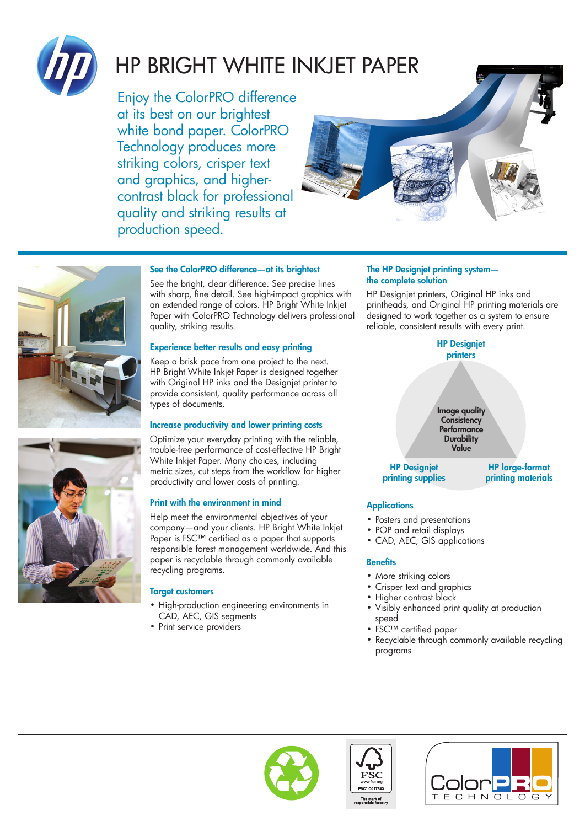

# hp Bright White Inkjet Paper

Enjoy the ColorPRO difference at its best on our brightest white bond paper. ColorPRO Technology produces more striking colors, crisper text and graphics, and highercontrast black for professional quality and striking results at production speed.





## See the ColorPRO difference—at its brightest

See the bright, clear difference. See precise lines with sharp, fine detail. See high-impact graphics with an extended range of colors. HP Bright White Inkjet Paper with ColorPRO Technology delivers professional quality, striking results.

## Experience better results and easy printing

Keep a brisk pace from one project to the next. HP Bright White Inkjet Paper is designed together with Original HP inks and the Designjet printer to provide consistent, quality performance across all types of documents.

## Increase productivity and lower printing costs

Optimize your everyday printing with the reliable, trouble-free performance of cost-effective HP Bright White Inkjet Paper. Many choices, including metric sizes, cut steps from the workflow for higher productivity and lower costs of printing.

## Print with the environment in mind

Help meet the environmental objectives of your company—and your clients. HP Bright White Inkjet Paper is FSC™ certified as a paper that supports responsible forest management worldwide. And this paper is recyclable through commonly available recycling programs.

## Target customers

- High-production engineering environments in CAD, AEC, GIS segments
- Print service providers

#### The HP Designjet printing system the complete solution

HP Designjet printers, Original HP inks and printheads, and Original HP printing materials are designed to work together as a system to ensure reliable, consistent results with every print.



## **Applications**

- Posters and presentations
- POP and retail displays
- CAD, AEC, GIS applications

## **Benefits**

- More striking colors
- Crisper text and graphics
- Higher contrast black
- Visibly enhanced print quality at production speed
- FSC™ certified paper
- Recyclable through commonly available recycling programs